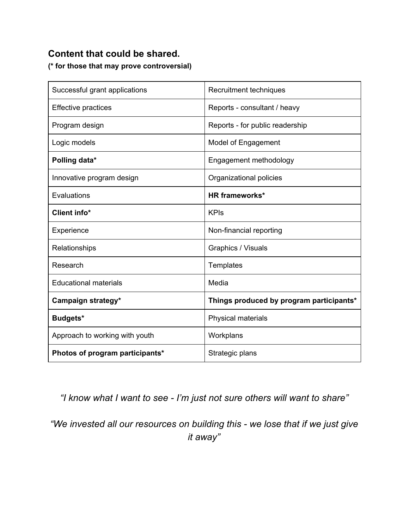## **Content that could be shared.**

**(\* for those that may prove controversial)**

| Successful grant applications   | Recruitment techniques                   |
|---------------------------------|------------------------------------------|
| <b>Effective practices</b>      | Reports - consultant / heavy             |
| Program design                  | Reports - for public readership          |
| Logic models                    | Model of Engagement                      |
| Polling data*                   | Engagement methodology                   |
| Innovative program design       | Organizational policies                  |
| Evaluations                     | <b>HR frameworks*</b>                    |
| Client info*                    | <b>KPIs</b>                              |
| Experience                      | Non-financial reporting                  |
| Relationships                   | Graphics / Visuals                       |
| Research                        | Templates                                |
| <b>Educational materials</b>    | Media                                    |
| Campaign strategy*              | Things produced by program participants* |
| Budgets*                        | Physical materials                       |
| Approach to working with youth  | Workplans                                |
| Photos of program participants* | Strategic plans                          |

*"I know what I want to see I'm just not sure others will want to share"*

*"We invested all our resources on building this we lose that if we just give it away"*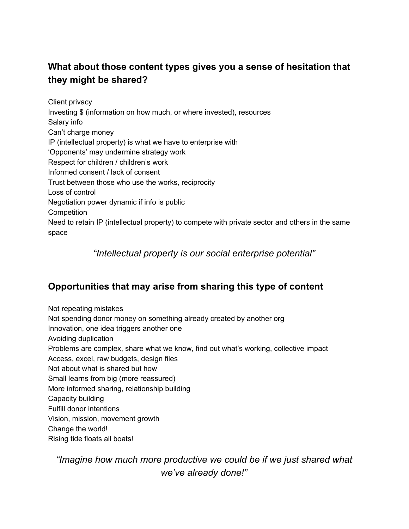# **What about those content types gives you a sense of hesitation that they might be shared?**

Client privacy Investing \$ (information on how much, or where invested), resources Salary info Can't charge money IP (intellectual property) is what we have to enterprise with 'Opponents' may undermine strategy work Respect for children / children's work Informed consent / lack of consent Trust between those who use the works, reciprocity Loss of control Negotiation power dynamic if info is public **Competition** Need to retain IP (intellectual property) to compete with private sector and others in the same space

*"Intellectual property is our social enterprise potential"*

# **Opportunities that may arise from sharing this type of content**

Not repeating mistakes Not spending donor money on something already created by another org Innovation, one idea triggers another one Avoiding duplication Problems are complex, share what we know, find out what's working, collective impact Access, excel, raw budgets, design files Not about what is shared but how Small learns from big (more reassured) More informed sharing, relationship building Capacity building Fulfill donor intentions Vision, mission, movement growth Change the world! Rising tide floats all boats!

*"Imagine how much more productive we could be if we just shared what we've already done!"*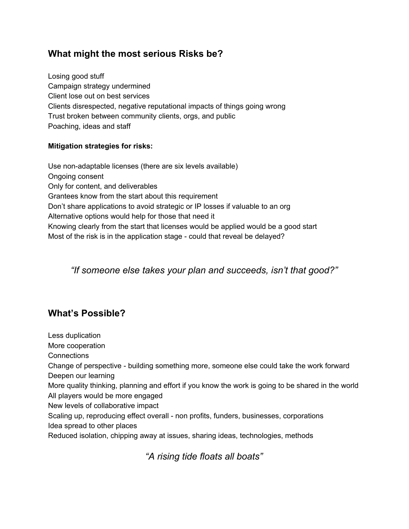### **What might the most serious Risks be?**

Losing good stuff Campaign strategy undermined Client lose out on best services Clients disrespected, negative reputational impacts of things going wrong Trust broken between community clients, orgs, and public Poaching, ideas and staff

#### **Mitigation strategies for risks:**

Use non-adaptable licenses (there are six levels available) Ongoing consent Only for content, and deliverables Grantees know from the start about this requirement Don't share applications to avoid strategic or IP losses if valuable to an org Alternative options would help for those that need it Knowing clearly from the start that licenses would be applied would be a good start Most of the risk is in the application stage - could that reveal be delayed?

### *"If someone else takes your plan and succeeds, isn't that good?"*

### **What's Possible?**

Less duplication More cooperation **Connections** Change of perspective - building something more, someone else could take the work forward Deepen our learning More quality thinking, planning and effort if you know the work is going to be shared in the world All players would be more engaged New levels of collaborative impact Scaling up, reproducing effect overall - non profits, funders, businesses, corporations Idea spread to other places Reduced isolation, chipping away at issues, sharing ideas, technologies, methods

*"A rising tide floats all boats"*